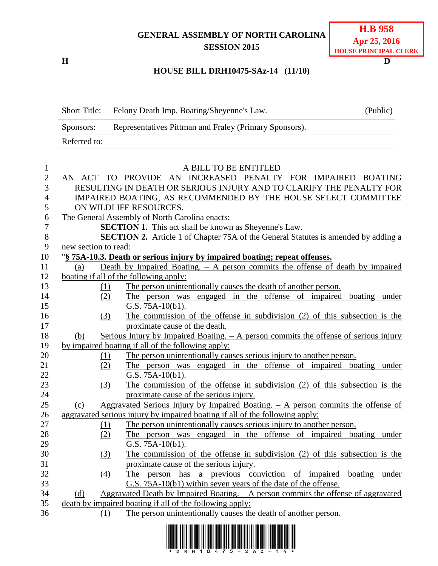## **GENERAL ASSEMBLY OF NORTH CAROLINA SESSION 2015**

**H D**

## **HOUSE BILL DRH10475-SAz-14 (11/10)**

| <b>Short Title:</b> | Felony Death Imp. Boating/Sheyenne's Law.              | (Public) |
|---------------------|--------------------------------------------------------|----------|
| Sponsors:           | Representatives Pittman and Fraley (Primary Sponsors). |          |
| Referred to:        |                                                        |          |

| $\mathbf{1}$   |                                                                              |     | A BILL TO BE ENTITLED                                                                     |  |  |  |
|----------------|------------------------------------------------------------------------------|-----|-------------------------------------------------------------------------------------------|--|--|--|
| $\overline{2}$ | AN ACT TO PROVIDE AN INCREASED PENALTY FOR IMPAIRED BOATING                  |     |                                                                                           |  |  |  |
| 3              | RESULTING IN DEATH OR SERIOUS INJURY AND TO CLARIFY THE PENALTY FOR          |     |                                                                                           |  |  |  |
| $\overline{4}$ |                                                                              |     | IMPAIRED BOATING, AS RECOMMENDED BY THE HOUSE SELECT COMMITTEE                            |  |  |  |
| 5              |                                                                              |     | ON WILDLIFE RESOURCES.                                                                    |  |  |  |
| 6              |                                                                              |     | The General Assembly of North Carolina enacts:                                            |  |  |  |
| $\tau$         |                                                                              |     | <b>SECTION 1.</b> This act shall be known as Sheyenne's Law.                              |  |  |  |
| $8\,$          |                                                                              |     | <b>SECTION 2.</b> Article 1 of Chapter 75A of the General Statutes is amended by adding a |  |  |  |
| 9              | new section to read:                                                         |     |                                                                                           |  |  |  |
| 10             | "§ 75A-10.3. Death or serious injury by impaired boating; repeat offenses.   |     |                                                                                           |  |  |  |
| 11             | (a)                                                                          |     | Death by Impaired Boating. $-$ A person commits the offense of death by impaired          |  |  |  |
| 12             | boating if all of the following apply:                                       |     |                                                                                           |  |  |  |
| 13             |                                                                              | (1) | The person unintentionally causes the death of another person.                            |  |  |  |
| 14             |                                                                              | (2) | The person was engaged in the offense of impaired boating under                           |  |  |  |
| 15             |                                                                              |     | G.S. 75A-10(b1).                                                                          |  |  |  |
| 16             |                                                                              | (3) | The commission of the offense in subdivision (2) of this subsection is the                |  |  |  |
| 17             |                                                                              |     | proximate cause of the death.                                                             |  |  |  |
| 18             | (b)                                                                          |     | Serious Injury by Impaired Boating. $- A$ person commits the offense of serious injury    |  |  |  |
| 19             | by impaired boating if all of the following apply:                           |     |                                                                                           |  |  |  |
| 20             |                                                                              | (1) | The person unintentionally causes serious injury to another person.                       |  |  |  |
| 21             |                                                                              | (2) | The person was engaged in the offense of impaired boating under                           |  |  |  |
| 22             |                                                                              |     | G.S. 75A-10(b1).                                                                          |  |  |  |
| 23             |                                                                              | (3) | The commission of the offense in subdivision $(2)$ of this subsection is the              |  |  |  |
| 24             |                                                                              |     | proximate cause of the serious injury.                                                    |  |  |  |
| 25             | (c)                                                                          |     | Aggravated Serious Injury by Impaired Boating. $-$ A person commits the offense of        |  |  |  |
| 26             | aggravated serious injury by impaired boating if all of the following apply: |     |                                                                                           |  |  |  |
| 27             |                                                                              | (1) | The person unintentionally causes serious injury to another person.                       |  |  |  |
| 28             |                                                                              | (2) | The person was engaged in the offense of impaired boating under                           |  |  |  |
| 29             |                                                                              |     | G.S. 75A-10(b1).                                                                          |  |  |  |
| 30             |                                                                              | (3) | The commission of the offense in subdivision (2) of this subsection is the                |  |  |  |
| 31             |                                                                              |     | proximate cause of the serious injury.                                                    |  |  |  |
| 32             |                                                                              | (4) | The person has a previous conviction of impaired boating under                            |  |  |  |
| 33             |                                                                              |     | G.S. 75A-10(b1) within seven years of the date of the offense.                            |  |  |  |
| 34             | (d)                                                                          |     | Aggravated Death by Impaired Boating. - A person commits the offense of aggravated        |  |  |  |
| 35             | death by impaired boating if all of the following apply:                     |     |                                                                                           |  |  |  |
| 36             |                                                                              | (1) | The person unintentionally causes the death of another person.                            |  |  |  |
|                |                                                                              |     |                                                                                           |  |  |  |